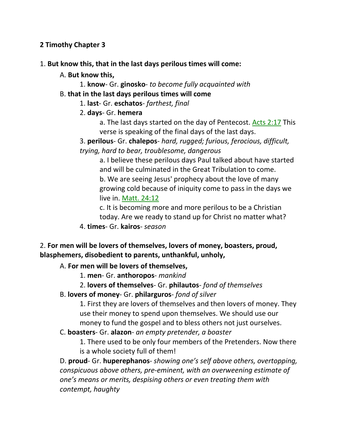### **2 Timothy Chapter 3**

- 1. **But know this, that in the last days perilous times will come:** 
	- A. **But know this,**
		- 1. **know** Gr. **ginosko** *to become fully acquainted with*
	- B. **that in the last days perilous times will come**

1. **last**- Gr. **eschatos**- *farthest, final*

### 2. **days**- Gr. **hemera**

a. The last days started on the day of Pentecost. Acts 2:17 This verse is speaking of the final days of the last days.

3. **perilous**- Gr. **chalepos**- *hard, rugged; furious, ferocious, difficult, trying, hard to bear, troublesome, dangerous*

a. I believe these perilous days Paul talked about have started and will be culminated in the Great Tribulation to come. b. We are seeing Jesus' prophecy about the love of many growing cold because of iniquity come to pass in the days we live in. Matt. 24:12

c. It is becoming more and more perilous to be a Christian today. Are we ready to stand up for Christ no matter what?

4. **times**- Gr. **kairos**- *season*

2. **For men will be lovers of themselves, lovers of money, boasters, proud, blasphemers, disobedient to parents, unthankful, unholy,** 

A. **For men will be lovers of themselves,**

- 1. **men** Gr. **anthoropos** *mankind*
- 2. **lovers of themselves** Gr. **philautos** *fond of themselves*
- B. **lovers of money** Gr. **philarguros** *fond of silver*

1. First they are lovers of themselves and then lovers of money. They use their money to spend upon themselves. We should use our money to fund the gospel and to bless others not just ourselves.

C. **boasters**- Gr. **alazon**- *an empty pretender, a boaster*

1. There used to be only four members of the Pretenders. Now there is a whole society full of them!

D. **proud**- Gr. **huperephanos**- *showing one's self above others, overtopping, conspicuous above others, pre-eminent, with an overweening estimate of one's means or merits, despising others or even treating them with contempt, haughty*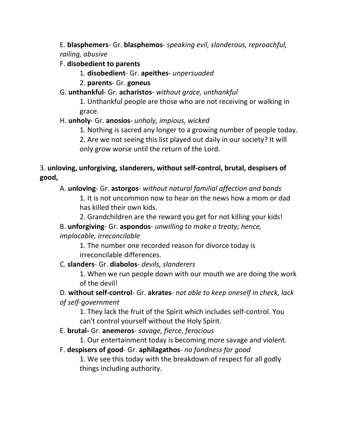E. **blasphemers**- Gr. **blasphemos**- *speaking evil, slanderous, reproachful, railing, abusive*

- F. **disobedient to parents**
	- 1. **disobedient** Gr. **apeithes** *unpersuaded*
	- 2. **parents** Gr. **goneus**
- G. **unthankful** Gr. **acharistos** *without grace, unthankful*

1. Unthankful people are those who are not receiving or walking in grace.

# H. **unholy**- Gr. **anosios**- *unholy, impious, wicked*

1. Nothing is sacred any longer to a growing number of people today.

2. Are we not seeing this list played out daily in our society? It will only grow worse until the return of the Lord.

# 3. **unloving, unforgiving, slanderers, without self-control, brutal, despisers of good,**

# A. **unloving**- Gr. **astorgos**- *without natural familial affection and bonds*

1. It is not uncommon now to hear on the news how a mom or dad has killed their own kids.

2. Grandchildren are the reward you get for not killing your kids!

B. **unforgiving**- Gr. **aspondos**- *unwilling to make a treaty; hence, implacable, irreconcilable*

1. The number one recorded reason for divorce today is irreconcilable differences.

# C. **slanders**- Gr. **diabolos**- *devils, slanderers*

1. When we run people down with our mouth we are doing the work of the devil!

# D. **without self-control**- Gr. **akrates**- *not able to keep oneself in check, lack*

# *of self-government*

1. They lack the fruit of the Spirit which includes self-control. You can't control yourself without the Holy Spirit.

# E. **brutal-** Gr. **anemeros**- *savage, fierce, ferocious*

1. Our entertainment today is becoming more savage and violent.

# F. **despisers of good**- Gr. **aphilagathos**- *no fondness for good*

1. We see this today with the breakdown of respect for all godly things including authority.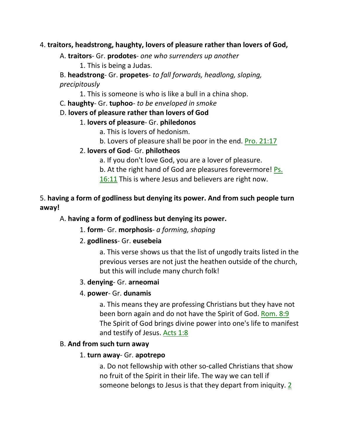### 4. **traitors, headstrong, haughty, lovers of pleasure rather than lovers of God,**

A. **traitors**- Gr. **prodotes**- *one who surrenders up another*

1. This is being a Judas.

B. **headstrong**- Gr. **propetes**- *to fall forwards, headlong, sloping, precipitously*

1. This is someone is who is like a bull in a china shop.

C. **haughty**- Gr. **tuphoo**- *to be enveloped in smoke*

### D. **lovers of pleasure rather than lovers of God**

### 1. **lovers of pleasure**- Gr. **philedonos**

a. This is lovers of hedonism.

b. Lovers of pleasure shall be poor in the end. Pro. 21:17

# 2. **lovers of God**- Gr. **philotheos**

a. If you don't love God, you are a lover of pleasure.

b. At the right hand of God are pleasures forevermore! Ps.

16:11 This is where Jesus and believers are right now.

# 5. **having a form of godliness but denying its power. And from such people turn away!**

# A. **having a form of godliness but denying its power.**

1. **form**- Gr. **morphosis**- *a forming, shaping*

# 2. **godliness**- Gr. **eusebeia**

a. This verse shows us that the list of ungodly traits listed in the previous verses are not just the heathen outside of the church, but this will include many church folk!

### 3. **denying**- Gr. **arneomai**

# 4. **power**- Gr. **dunamis**

a. This means they are professing Christians but they have not been born again and do not have the Spirit of God. Rom. 8:9 The Spirit of God brings divine power into one's life to manifest and testify of Jesus. Acts 1:8

### B. **And from such turn away**

# 1. **turn away**- Gr. **apotrepo**

a. Do not fellowship with other so-called Christians that show no fruit of the Spirit in their life. The way we can tell if someone belongs to Jesus is that they depart from iniquity. 2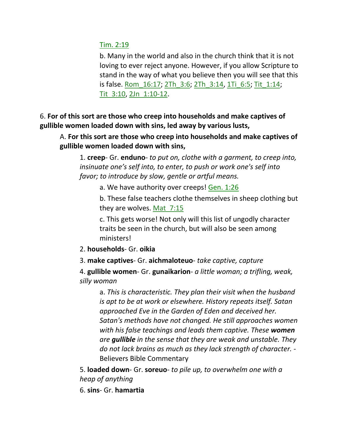### Tim. 2:19

b. Many in the world and also in the church think that it is not loving to ever reject anyone. However, if you allow Scripture to stand in the way of what you believe then you will see that this is false. Rom\_16:17; 2Th\_3:6; 2Th\_3:14, 1Ti\_6:5; Tit\_1:14; Tit\_3:10, 2Jn\_1:10-12.

6. **For of this sort are those who creep into households and make captives of gullible women loaded down with sins, led away by various lusts,**

A. **For this sort are those who creep into households and make captives of gullible women loaded down with sins,**

1. **creep**- Gr. **enduno**- *to put on, clothe with a garment, to creep into, insinuate one's self into, to enter, to push or work one's self into favor; to introduce by slow, gentle or artful means.*

a. We have authority over creeps! Gen. 1:26

b. These false teachers clothe themselves in sheep clothing but they are wolves. Mat\_7:15

c. This gets worse! Not only will this list of ungodly character traits be seen in the church, but will also be seen among ministers!

2. **households**- Gr. **oikia**

3. **make captives**- Gr. **aichmaloteuo**- *take captive, capture*

4. **gullible women**- Gr. **gunaikarion**- *a little woman; a trifling, weak, silly woman*

a. *This is characteristic. They plan their visit when the husband is apt to be at work or elsewhere. History repeats itself. Satan approached Eve in the Garden of Eden and deceived her. Satan's methods have not changed. He still approaches women with his false teachings and leads them captive. These women are gullible in the sense that they are weak and unstable. They do not lack brains as much as they lack strength of character. -* Believers Bible Commentary

5. **loaded down**- Gr. **soreuo**- *to pile up, to overwhelm one with a heap of anything*

6. **sins**- Gr. **hamartia**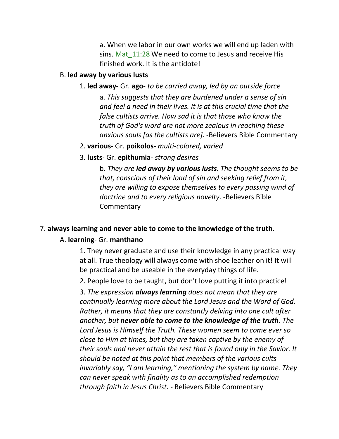a. When we labor in our own works we will end up laden with sins. Mat 11:28 We need to come to Jesus and receive His finished work. It is the antidote!

#### B. **led away by various lusts**

#### 1. **led away**- Gr. **ago**- *to be carried away, led by an outside force*

a. *This suggests that they are burdened under a sense of sin and feel a need in their lives. It is at this crucial time that the false cultists arrive. How sad it is that those who know the truth of God's word are not more zealous in reaching these anxious souls [as the cultists are]*. -Believers Bible Commentary

- 2. **various** Gr. **poikolos** *multi-colored, varied*
- 3. **lusts** Gr. **epithumia** *strong desires*

b. *They are led away by various lusts. The thought seems to be that, conscious of their load of sin and seeking relief from it, they are willing to expose themselves to every passing wind of doctrine and to every religious novelty.* -Believers Bible **Commentary** 

#### 7. **always learning and never able to come to the knowledge of the truth.**

#### A. **learning**- Gr. **manthano**

1. They never graduate and use their knowledge in any practical way at all. True theology will always come with shoe leather on it! It will be practical and be useable in the everyday things of life.

2. People love to be taught, but don't love putting it into practice!

3. *The expression always learning does not mean that they are continually learning more about the Lord Jesus and the Word of God. Rather, it means that they are constantly delving into one cult after another, but never able to come to the knowledge of the truth. The Lord Jesus is Himself the Truth. These women seem to come ever so close to Him at times, but they are taken captive by the enemy of their souls and never attain the rest that is found only in the Savior. It should be noted at this point that members of the various cults invariably say, "I am learning," mentioning the system by name. They can never speak with finality as to an accomplished redemption through faith in Jesus Christ. -* Believers Bible Commentary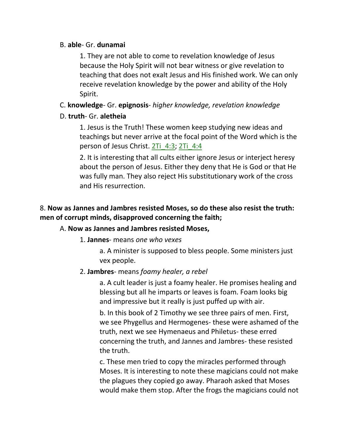### B. **able**- Gr. **dunamai**

1. They are not able to come to revelation knowledge of Jesus because the Holy Spirit will not bear witness or give revelation to teaching that does not exalt Jesus and His finished work. We can only receive revelation knowledge by the power and ability of the Holy Spirit.

# C. **knowledge**- Gr. **epignosis**- *higher knowledge, revelation knowledge*

### D. **truth**- Gr. **aletheia**

1. Jesus is the Truth! These women keep studying new ideas and teachings but never arrive at the focal point of the Word which is the person of Jesus Christ. 2Ti\_4:3; 2Ti\_4:4

2. It is interesting that all cults either ignore Jesus or interject heresy about the person of Jesus. Either they deny that He is God or that He was fully man. They also reject His substitutionary work of the cross and His resurrection.

# 8. **Now as Jannes and Jambres resisted Moses, so do these also resist the truth: men of corrupt minds, disapproved concerning the faith;**

# A. **Now as Jannes and Jambres resisted Moses,**

### 1. **Jannes**- means *one who vexes*

a. A minister is supposed to bless people. Some ministers just vex people.

# 2. **Jambres**- means *foamy healer, a rebel*

a. A cult leader is just a foamy healer. He promises healing and blessing but all he imparts or leaves is foam. Foam looks big and impressive but it really is just puffed up with air.

b. In this book of 2 Timothy we see three pairs of men. First, we see Phygellus and Hermogenes- these were ashamed of the truth, next we see Hymenaeus and Philetus- these erred concerning the truth, and Jannes and Jambres- these resisted the truth.

c. These men tried to copy the miracles performed through Moses. It is interesting to note these magicians could not make the plagues they copied go away. Pharaoh asked that Moses would make them stop. After the frogs the magicians could not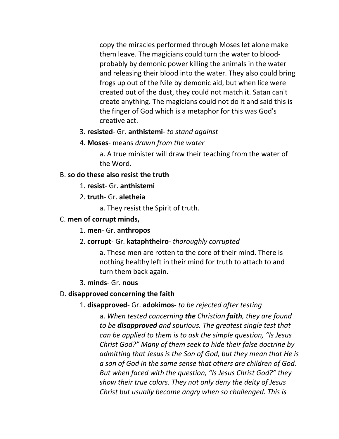copy the miracles performed through Moses let alone make them leave. The magicians could turn the water to bloodprobably by demonic power killing the animals in the water and releasing their blood into the water. They also could bring frogs up out of the Nile by demonic aid, but when lice were created out of the dust, they could not match it. Satan can't create anything. The magicians could not do it and said this is the finger of God which is a metaphor for this was God's creative act.

#### 3. **resisted**- Gr. **anthistemi**- *to stand against*

4. **Moses**- means *drawn from the water*

a. A true minister will draw their teaching from the water of the Word.

#### B. **so do these also resist the truth**

- 1. **resist** Gr. **anthistemi**
- 2. **truth** Gr. **aletheia**
	- a. They resist the Spirit of truth.

#### C. **men of corrupt minds,**

- 1. **men** Gr. **anthropos**
- 2. **corrupt** Gr. **kataphtheiro** *thoroughly corrupted*

a. These men are rotten to the core of their mind. There is nothing healthy left in their mind for truth to attach to and turn them back again.

#### 3. **minds**- Gr. **nous**

#### D. **disapproved concerning the faith**

#### 1. **disapproved**- Gr. **adokimos-** *to be rejected after testing*

a. *When tested concerning the Christian faith, they are found to be disapproved and spurious. The greatest single test that can be applied to them is to ask the simple question, "Is Jesus Christ God?" Many of them seek to hide their false doctrine by admitting that Jesus is the Son of God, but they mean that He is a son of God in the same sense that others are children of God. But when faced with the question, "Is Jesus Christ God?" they show their true colors. They not only deny the deity of Jesus Christ but usually become angry when so challenged. This is*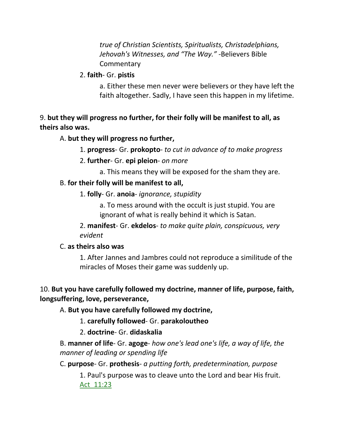*true of Christian Scientists, Spiritualists, Christadelphians, Jehovah's Witnesses, and "The Way."* -Believers Bible **Commentary** 

### 2. **faith**- Gr. **pistis**

a. Either these men never were believers or they have left the faith altogether. Sadly, I have seen this happen in my lifetime.

# 9. **but they will progress no further, for their folly will be manifest to all, as theirs also was.**

# A. **but they will progress no further,**

- 1. **progress** Gr. **prokopto** *to cut in advance of to make progress*
- 2. **further** Gr. **epi pleion** *on more*
	- a. This means they will be exposed for the sham they are.

# B. **for their folly will be manifest to all,**

1. **folly**- Gr. **anoia**- *ignorance, stupidity*

a. To mess around with the occult is just stupid. You are ignorant of what is really behind it which is Satan.

2. **manifest**- Gr. **ekdelos**- *to make quite plain, conspicuous, very evident*

# C. **as theirs also was**

1. After Jannes and Jambres could not reproduce a similitude of the miracles of Moses their game was suddenly up.

# 10. **But you have carefully followed my doctrine, manner of life, purpose, faith, longsuffering, love, perseverance,**

# A. **But you have carefully followed my doctrine,**

- 1. **carefully followed** Gr. **parakoloutheo**
- 2. **doctrine** Gr. **didaskalia**

B. **manner of life**- Gr. **agoge**- *how one's lead one's life, a way of life, the manner of leading or spending life*

C. **purpose**- Gr. **prothesis**- *a putting forth, predetermination, purpose*

1. Paul's purpose was to cleave unto the Lord and bear His fruit. Act\_11:23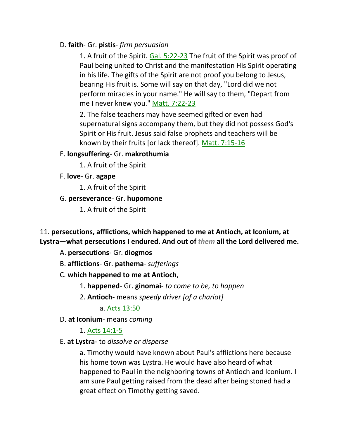## D. **faith**- Gr. **pistis**- *firm persuasion*

1. A fruit of the Spirit. Gal. 5:22-23 The fruit of the Spirit was proof of Paul being united to Christ and the manifestation His Spirit operating in his life. The gifts of the Spirit are not proof you belong to Jesus, bearing His fruit is. Some will say on that day, "Lord did we not perform miracles in your name." He will say to them, "Depart from me I never knew you." Matt. 7:22-23

2. The false teachers may have seemed gifted or even had supernatural signs accompany them, but they did not possess God's Spirit or His fruit. Jesus said false prophets and teachers will be known by their fruits [or lack thereof]. Matt. 7:15-16

### E. **longsuffering**- Gr. **makrothumia**

1. A fruit of the Spirit

F. **love**- Gr. **agape**

1. A fruit of the Spirit

### G. **perseverance**- Gr. **hupomone**

1. A fruit of the Spirit

11. **persecutions, afflictions, which happened to me at Antioch, at Iconium, at Lystra—what persecutions I endured. And out of** *them* **all the Lord delivered me.** 

- A. **persecutions** Gr. **diogmos**
- B. **afflictions** Gr. **pathema** *sufferings*
- C. **which happened to me at Antioch**,
	- 1. **happened** Gr. **ginomai** *to come to be, to happen*
	- 2. **Antioch** means *speedy driver [of a chariot]*

a. Acts 13:50

D. **at Iconium**- means *coming*

1. Acts 14:1-5

E. **at Lystra**- to *dissolve or disperse*

a. Timothy would have known about Paul's afflictions here because his home town was Lystra. He would have also heard of what happened to Paul in the neighboring towns of Antioch and Iconium. I am sure Paul getting raised from the dead after being stoned had a great effect on Timothy getting saved.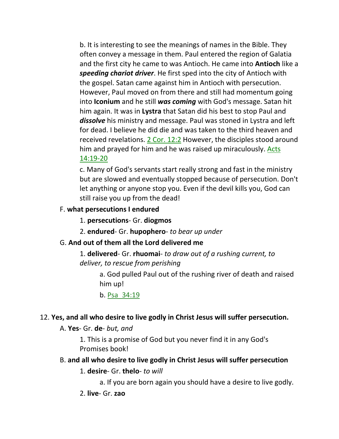b. It is interesting to see the meanings of names in the Bible. They often convey a message in them. Paul entered the region of Galatia and the first city he came to was Antioch. He came into **Antioch** like a *speeding chariot driver*. He first sped into the city of Antioch with the gospel. Satan came against him in Antioch with persecution. However, Paul moved on from there and still had momentum going into **Iconium** and he still *was coming* with God's message. Satan hit him again. It was in **Lystra** that Satan did his best to stop Paul and *dissolve* his ministry and message. Paul was stoned in Lystra and left for dead. I believe he did die and was taken to the third heaven and received revelations. 2 Cor. 12:2 However, the disciples stood around him and prayed for him and he was raised up miraculously. Acts 14:19-20

c. Many of God's servants start really strong and fast in the ministry but are slowed and eventually stopped because of persecution. Don't let anything or anyone stop you. Even if the devil kills you, God can still raise you up from the dead!

### F. **what persecutions I endured**

- 1. **persecutions** Gr. **diogmos**
- 2. **endured** Gr. **hupophero** *to bear up under*

### G. **And out of them all the Lord delivered me**

1. **delivered**- Gr. **rhuomai**- *to draw out of a rushing current, to deliver, to rescue from perishing*

a. God pulled Paul out of the rushing river of death and raised him up!

b. Psa\_34:19

### 12. **Yes, and all who desire to live godly in Christ Jesus will suffer persecution.**

### A. **Yes**- Gr. **de**- *but, and*

1. This is a promise of God but you never find it in any God's Promises book!

### B. **and all who desire to live godly in Christ Jesus will suffer persecution**

#### 1. **desire**- Gr. **thelo**- *to will*

a. If you are born again you should have a desire to live godly.

2. **live**- Gr. **zao**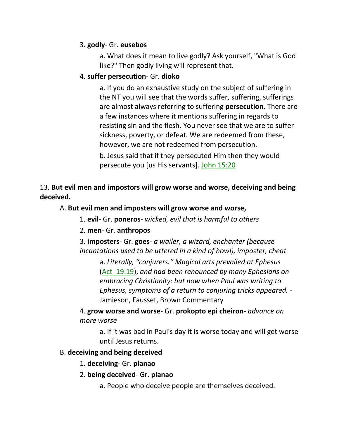### 3. **godly**- Gr. **eusebos**

a. What does it mean to live godly? Ask yourself, "What is God like?" Then godly living will represent that.

### 4. **suffer persecution**- Gr. **dioko**

a. If you do an exhaustive study on the subject of suffering in the NT you will see that the words suffer, suffering, sufferings are almost always referring to suffering **persecution**. There are a few instances where it mentions suffering in regards to resisting sin and the flesh. You never see that we are to suffer sickness, poverty, or defeat. We are redeemed from these, however, we are not redeemed from persecution. b. Jesus said that if they persecuted Him then they would persecute you [us His servants]. John 15:20

# 13. **But evil men and impostors will grow worse and worse, deceiving and being deceived.**

# A. **But evil men and imposters will grow worse and worse,**

1. **evil**- Gr. **poneros**- *wicked, evil that is harmful to others*

# 2. **men**- Gr. **anthropos**

3. **imposters**- Gr. **goes**- *a wailer, a wizard, enchanter (because incantations used to be uttered in a kind of howl), imposter, cheat*

a. *Literally, "conjurers." Magical arts prevailed at Ephesus* (Act\_19:19), *and had been renounced by many Ephesians on embracing Christianity: but now when Paul was writing to Ephesus, symptoms of a return to conjuring tricks appeared. -* Jamieson, Fausset, Brown Commentary

4. **grow worse and worse**- Gr. **prokopto epi cheiron**- *advance on more worse*

a. If it was bad in Paul's day it is worse today and will get worse until Jesus returns.

# B. **deceiving and being deceived**

### 1. **deceiving**- Gr. **planao**

# 2. **being deceived**- Gr. **planao**

a. People who deceive people are themselves deceived.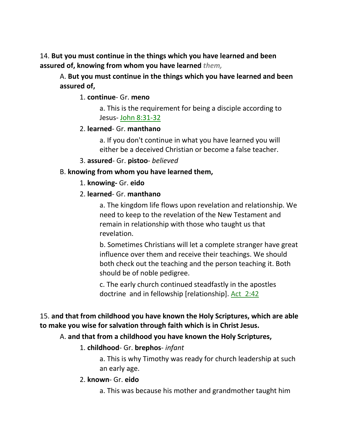14. **But you must continue in the things which you have learned and been assured of, knowing from whom you have learned** *them,*

A. **But you must continue in the things which you have learned and been assured of,**

### 1. **continue**- Gr. **meno**

a. This is the requirement for being a disciple according to Jesus- John 8:31-32

### 2. **learned**- Gr. **manthano**

a. If you don't continue in what you have learned you will either be a deceived Christian or become a false teacher.

3. **assured**- Gr. **pistoo**- *believed*

### B. **knowing from whom you have learned them,**

- 1. **knowing-** Gr. **eido**
- 2. **learned** Gr. **manthano**

a. The kingdom life flows upon revelation and relationship. We need to keep to the revelation of the New Testament and remain in relationship with those who taught us that revelation.

b. Sometimes Christians will let a complete stranger have great influence over them and receive their teachings. We should both check out the teaching and the person teaching it. Both should be of noble pedigree.

c. The early church continued steadfastly in the apostles doctrine and in fellowship [relationship]. Act\_2:42

# 15. **and that from childhood you have known the Holy Scriptures, which are able to make you wise for salvation through faith which is in Christ Jesus.**

### A. **and that from a childhood you have known the Holy Scriptures,**

### 1. **childhood**- Gr. **brephos**- *infant*

a. This is why Timothy was ready for church leadership at such an early age.

### 2. **known**- Gr. **eido**

a. This was because his mother and grandmother taught him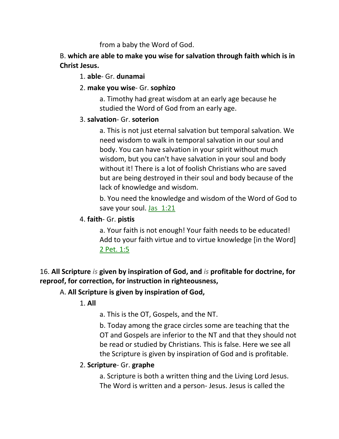from a baby the Word of God.

B. **which are able to make you wise for salvation through faith which is in Christ Jesus.**

## 1. **able**- Gr. **dunamai**

# 2. **make you wise**- Gr. **sophizo**

a. Timothy had great wisdom at an early age because he studied the Word of God from an early age.

### 3. **salvation**- Gr. **soterion**

a. This is not just eternal salvation but temporal salvation. We need wisdom to walk in temporal salvation in our soul and body. You can have salvation in your spirit without much wisdom, but you can't have salvation in your soul and body without it! There is a lot of foolish Christians who are saved but are being destroyed in their soul and body because of the lack of knowledge and wisdom.

b. You need the knowledge and wisdom of the Word of God to save your soul. Jas 1:21

### 4. **faith**- Gr. **pistis**

a. Your faith is not enough! Your faith needs to be educated! Add to your faith virtue and to virtue knowledge [in the Word] 2 Pet. 1:5

16. **All Scripture** *is* **given by inspiration of God, and** *is* **profitable for doctrine, for reproof, for correction, for instruction in righteousness,** 

# A. **All Scripture is given by inspiration of God,**

1. **All**

a. This is the OT, Gospels, and the NT.

b. Today among the grace circles some are teaching that the OT and Gospels are inferior to the NT and that they should not be read or studied by Christians. This is false. Here we see all the Scripture is given by inspiration of God and is profitable.

# 2. **Scripture**- Gr. **graphe**

a. Scripture is both a written thing and the Living Lord Jesus. The Word is written and a person- Jesus. Jesus is called the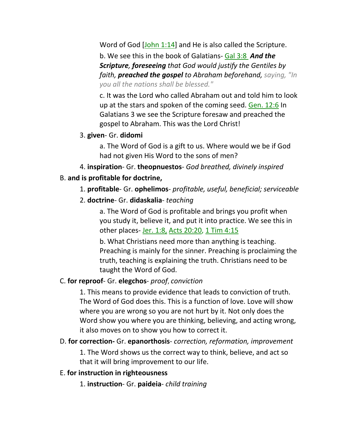Word of God [John 1:14] and He is also called the Scripture. b. We see this in the book of Galatians- Gal 3:8 *And the Scripture, foreseeing that God would justify the Gentiles by faith, preached the gospel to Abraham beforehand, saying, "In you all the nations shall be blessed."*

c. It was the Lord who called Abraham out and told him to look up at the stars and spoken of the coming seed. Gen. 12:6 In Galatians 3 we see the Scripture foresaw and preached the gospel to Abraham. This was the Lord Christ!

3. **given**- Gr. **didomi**

a. The Word of God is a gift to us. Where would we be if God had not given His Word to the sons of men?

4. **inspiration**- Gr. **theopnuestos**- *God breathed, divinely inspired*

# B. **and is profitable for doctrine,**

- 1. **profitable** Gr. **ophelimos** *profitable, useful, beneficial; serviceable*
- 2. **doctrine** Gr. **didaskalia** *teaching*

a. The Word of God is profitable and brings you profit when you study it, believe it, and put it into practice. We see this in other places- Jer. 1:8, Acts 20:20, 1 Tim 4:15

b. What Christians need more than anything is teaching. Preaching is mainly for the sinner. Preaching is proclaiming the truth, teaching is explaining the truth. Christians need to be taught the Word of God.

### C. **for reproof**- Gr. **elegchos**- *proof*, *conviction*

1. This means to provide evidence that leads to conviction of truth. The Word of God does this. This is a function of love. Love will show where you are wrong so you are not hurt by it. Not only does the Word show you where you are thinking, believing, and acting wrong, it also moves on to show you how to correct it.

D. **for correction-** Gr. **epanorthosis**- *correction, reformation, improvement*

1. The Word shows us the correct way to think, believe, and act so that it will bring improvement to our life.

### E. **for instruction in righteousness**

1. **instruction**- Gr. **paideia**- *child training*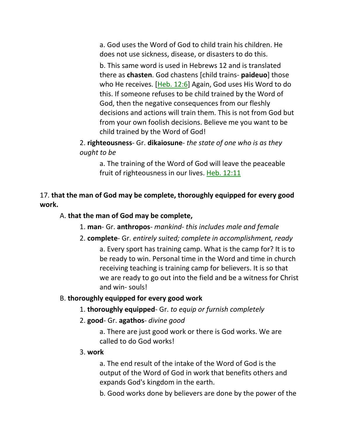a. God uses the Word of God to child train his children. He does not use sickness, disease, or disasters to do this.

b. This same word is used in Hebrews 12 and is translated there as **chasten**. God chastens [child trains- **paideuo**] those who He receives. [Heb. 12:6] Again, God uses His Word to do this. If someone refuses to be child trained by the Word of God, then the negative consequences from our fleshly decisions and actions will train them. This is not from God but from your own foolish decisions. Believe me you want to be child trained by the Word of God!

2. **righteousness**- Gr. **dikaiosune**- *the state of one who is as they ought to be*

a. The training of the Word of God will leave the peaceable fruit of righteousness in our lives. Heb. 12:11

17. **that the man of God may be complete, thoroughly equipped for every good work.** 

#### A. **that the man of God may be complete,**

- 1. **man** Gr. **anthropos** *mankind- this includes male and female*
- 2. **complete** Gr. *entirely suited; complete in accomplishment, ready* a. Every sport has training camp. What is the camp for? It is to be ready to win. Personal time in the Word and time in church receiving teaching is training camp for believers. It is so that we are ready to go out into the field and be a witness for Christ and win- souls!

### B. **thoroughly equipped for every good work**

- 1. **thoroughly equipped** Gr. *to equip or furnish completely*
- 2. **good** Gr. **agathos** *divine good*

a. There are just good work or there is God works. We are called to do God works!

3. **work**

a. The end result of the intake of the Word of God is the output of the Word of God in work that benefits others and expands God's kingdom in the earth.

b. Good works done by believers are done by the power of the